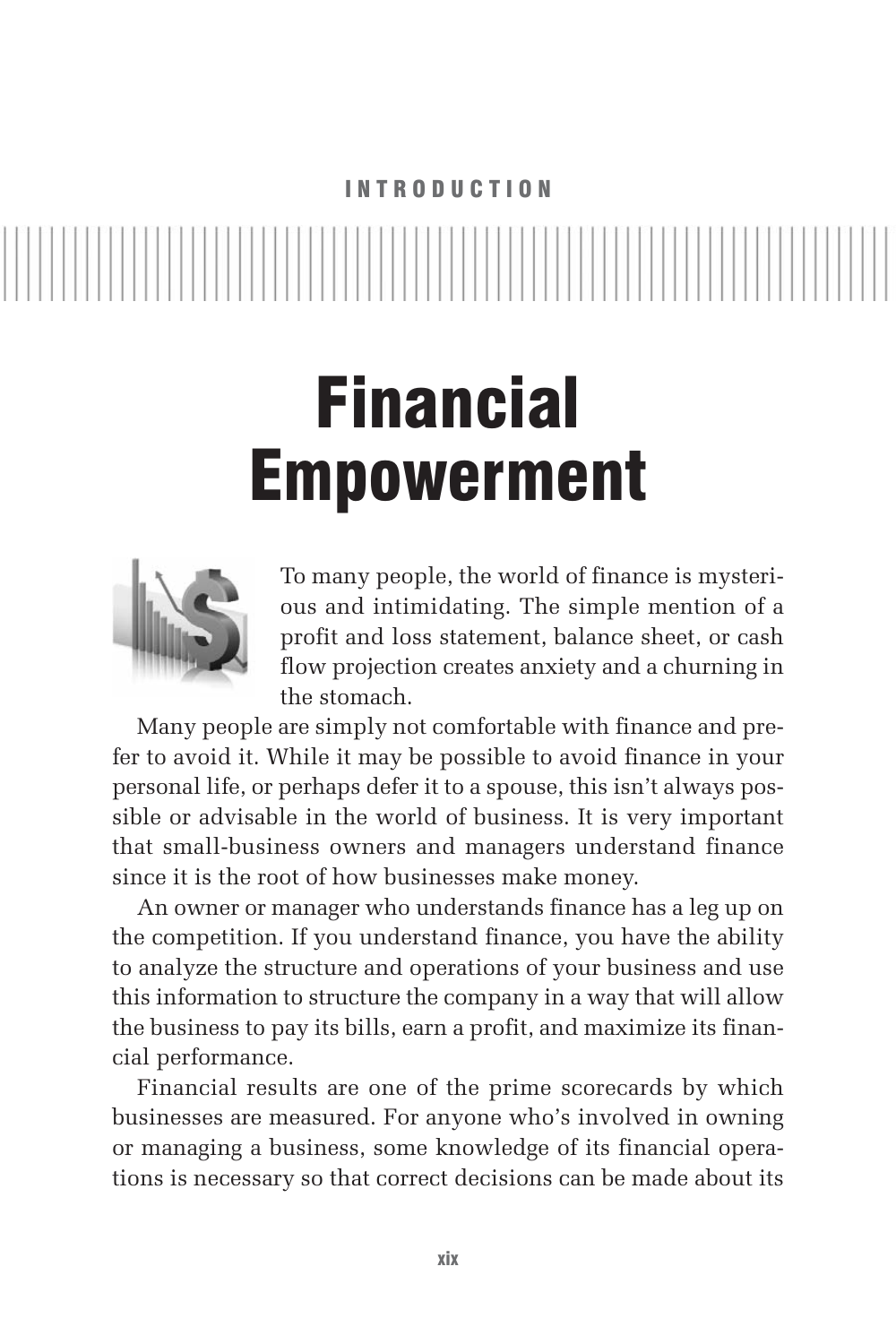### INTRODUCTION

# Financial Empowerment



To many people, the world of finance is mysterious and intimidating. The simple mention of a profit and loss statement, balance sheet, or cash flow projection creates anxiety and a churning in the stomach.

Many people are simply not comfortable with finance and prefer to avoid it. While it may be possible to avoid finance in your personal life, or perhaps defer it to a spouse, this isn't always possible or advisable in the world of business. It is very important that small-business owners and managers understand finance since it is the root of how businesses make money.

An owner or manager who understands finance has a leg up on the competition. If you understand finance, you have the ability to analyze the structure and operations of your business and use this information to structure the company in a way that will allow the business to pay its bills, earn a profit, and maximize its financial performance.

Financial results are one of the prime scorecards by which businesses are measured. For anyone who's involved in owning or managing a business, some knowledge of its financial operations is necessary so that correct decisions can be made about its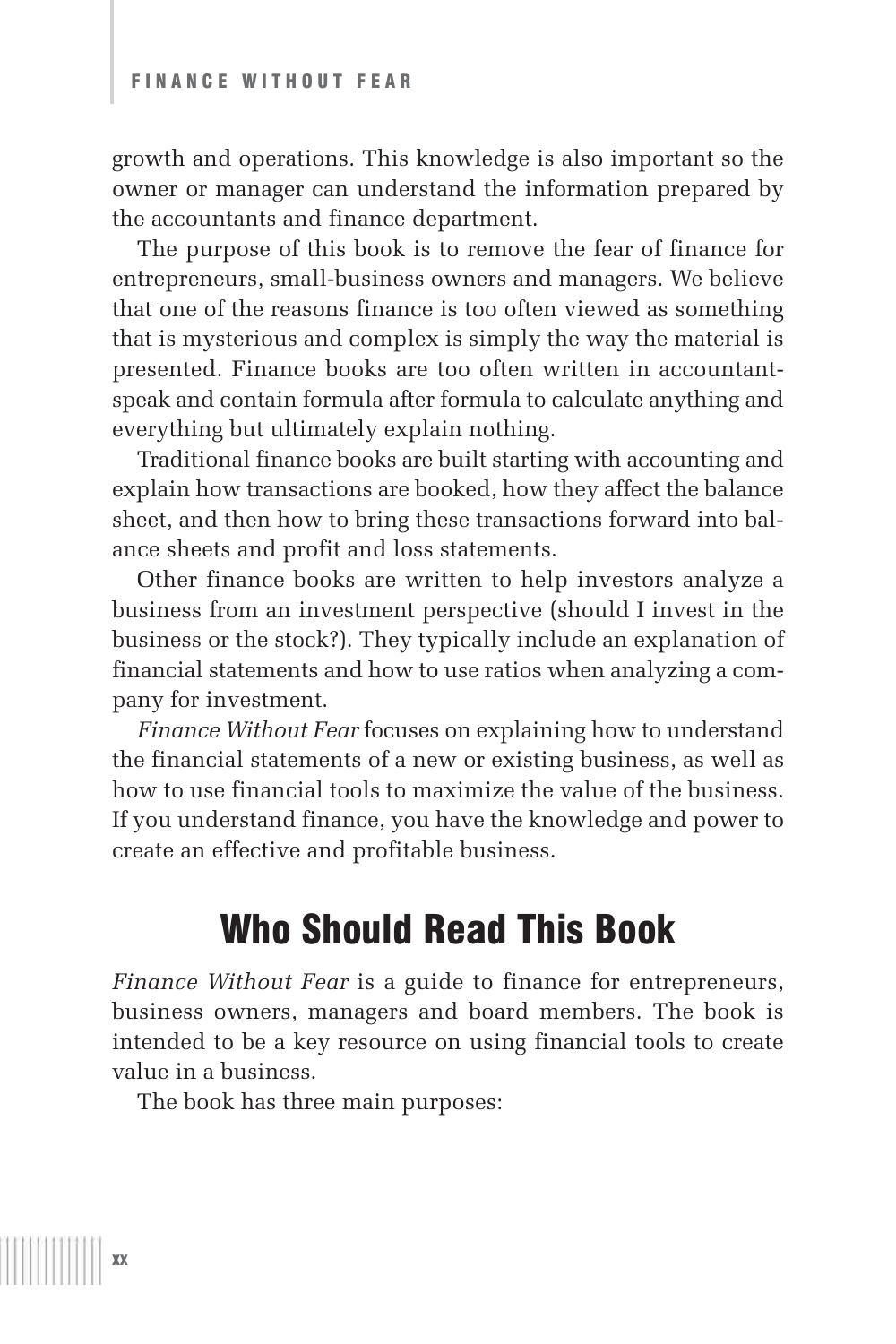growth and operations. This knowledge is also important so the owner or manager can understand the information prepared by the accountants and finance department.

The purpose of this book is to remove the fear of finance for entrepreneurs, small-business owners and managers. We believe that one of the reasons finance is too often viewed as something that is mysterious and complex is simply the way the material is presented. Finance books are too often written in accountantspeak and contain formula after formula to calculate anything and everything but ultimately explain nothing.

Traditional finance books are built starting with accounting and explain how transactions are booked, how they affect the balance sheet, and then how to bring these transactions forward into balance sheets and profit and loss statements.

Other finance books are written to help investors analyze a business from an investment perspective (should I invest in the business or the stock?). They typically include an explanation of financial statements and how to use ratios when analyzing a company for investment.

*Finance Without Fear* focuses on explaining how to understand the financial statements of a new or existing business, as well as how to use financial tools to maximize the value of the business. If you understand finance, you have the knowledge and power to create an effective and profitable business.

## Who Should Read This Book

*Finance Without Fear* is a guide to finance for entrepreneurs, business owners, managers and board members. The book is intended to be a key resource on using financial tools to create value in a business.

The book has three main purposes: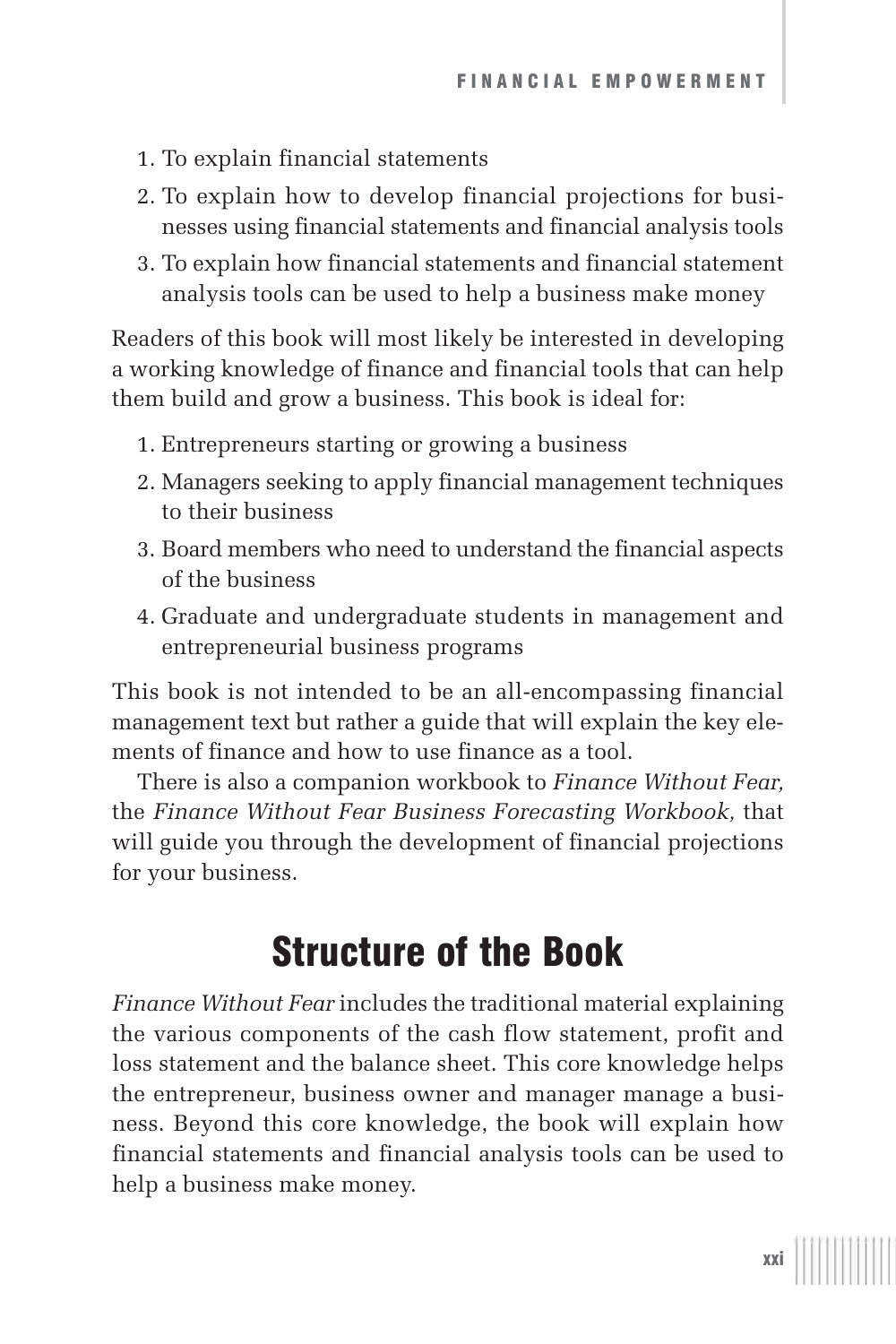- 1. To explain financial statements
- 2. To explain how to develop financial projections for businesses using financial statements and financial analysis tools
- 3. To explain how financial statements and financial statement analysis tools can be used to help a business make money

Readers of this book will most likely be interested in developing a working knowledge of finance and financial tools that can help them build and grow a business. This book is ideal for:

- 1. Entrepreneurs starting or growing a business
- 2. Managers seeking to apply financial management techniques to their business
- 3. Board members who need to understand the financial aspects of the business
- 4. Graduate and undergraduate students in management and entrepreneurial business programs

This book is not intended to be an all-encompassing financial management text but rather a guide that will explain the key elements of finance and how to use finance as a tool.

There is also a companion workbook to *Finance Without Fear,* the *Finance Without Fear Business Forecasting Workbook,* that will guide you through the development of financial projections for your business.

## Structure of the Book

*Finance Without Fear* includes the traditional material explaining the various components of the cash flow statement, profit and loss statement and the balance sheet. This core knowledge helps the entrepreneur, business owner and manager manage a business. Beyond this core knowledge, the book will explain how financial statements and financial analysis tools can be used to help a business make money.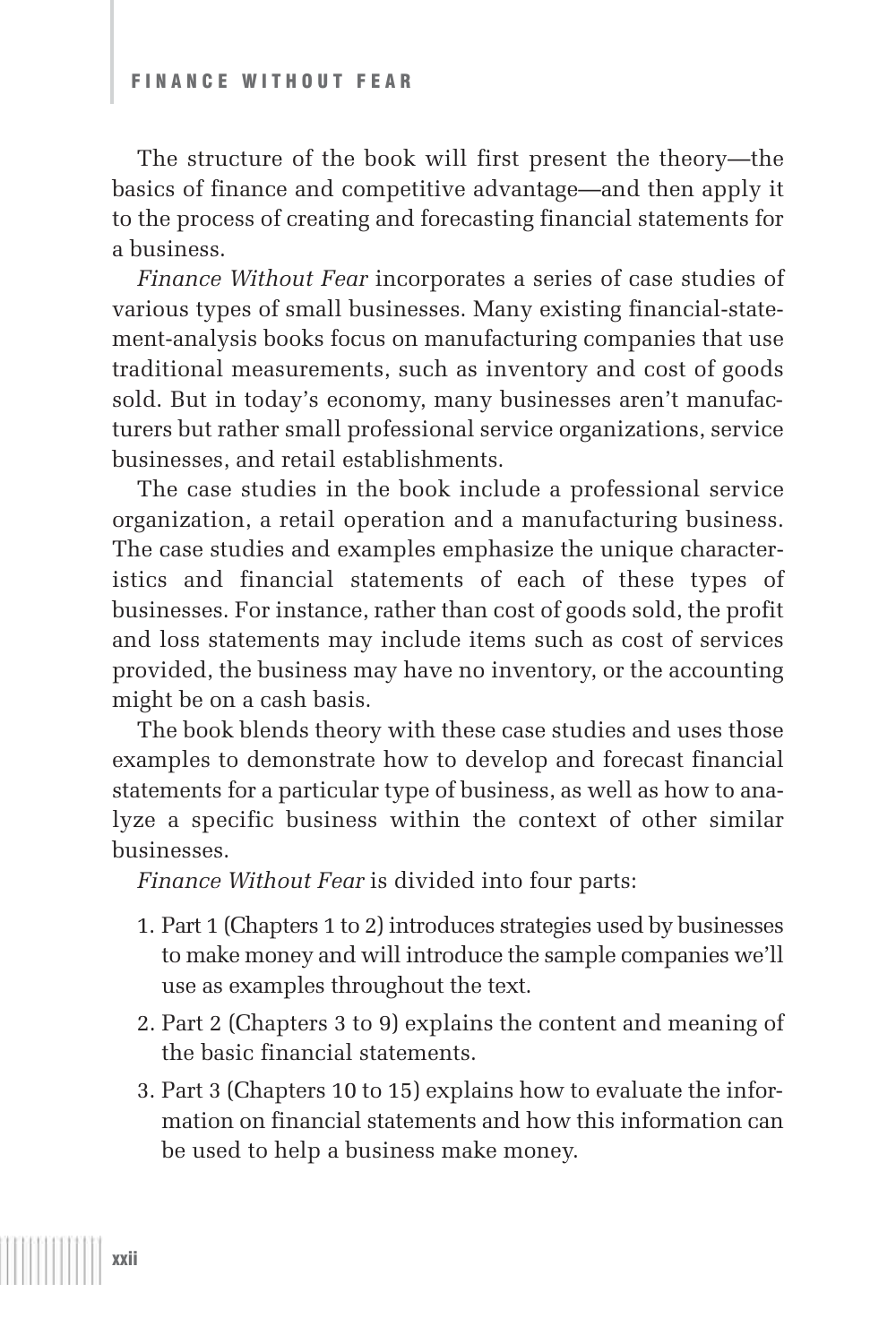The structure of the book will first present the theory—the basics of finance and competitive advantage—and then apply it to the process of creating and forecasting financial statements for a business.

*Finance Without Fear* incorporates a series of case studies of various types of small businesses. Many existing financial-statement-analysis books focus on manufacturing companies that use traditional measurements, such as inventory and cost of goods sold. But in today's economy, many businesses aren't manufacturers but rather small professional service organizations, service businesses, and retail establishments.

The case studies in the book include a professional service organization, a retail operation and a manufacturing business. The case studies and examples emphasize the unique characteristics and financial statements of each of these types of businesses. For instance, rather than cost of goods sold, the profit and loss statements may include items such as cost of services provided, the business may have no inventory, or the accounting might be on a cash basis.

The book blends theory with these case studies and uses those examples to demonstrate how to develop and forecast financial statements for a particular type of business, as well as how to analyze a specific business within the context of other similar businesses.

*Finance Without Fear* is divided into four parts:

- 1. Part 1 (Chapters 1 to 2) introduces strategies used by businesses to make money and will introduce the sample companies we'll use as examples throughout the text.
- 2. Part 2 (Chapters 3 to 9) explains the content and meaning of the basic financial statements.
- 3. Part 3 (Chapters 10 to 15) explains how to evaluate the information on financial statements and how this information can be used to help a business make money.